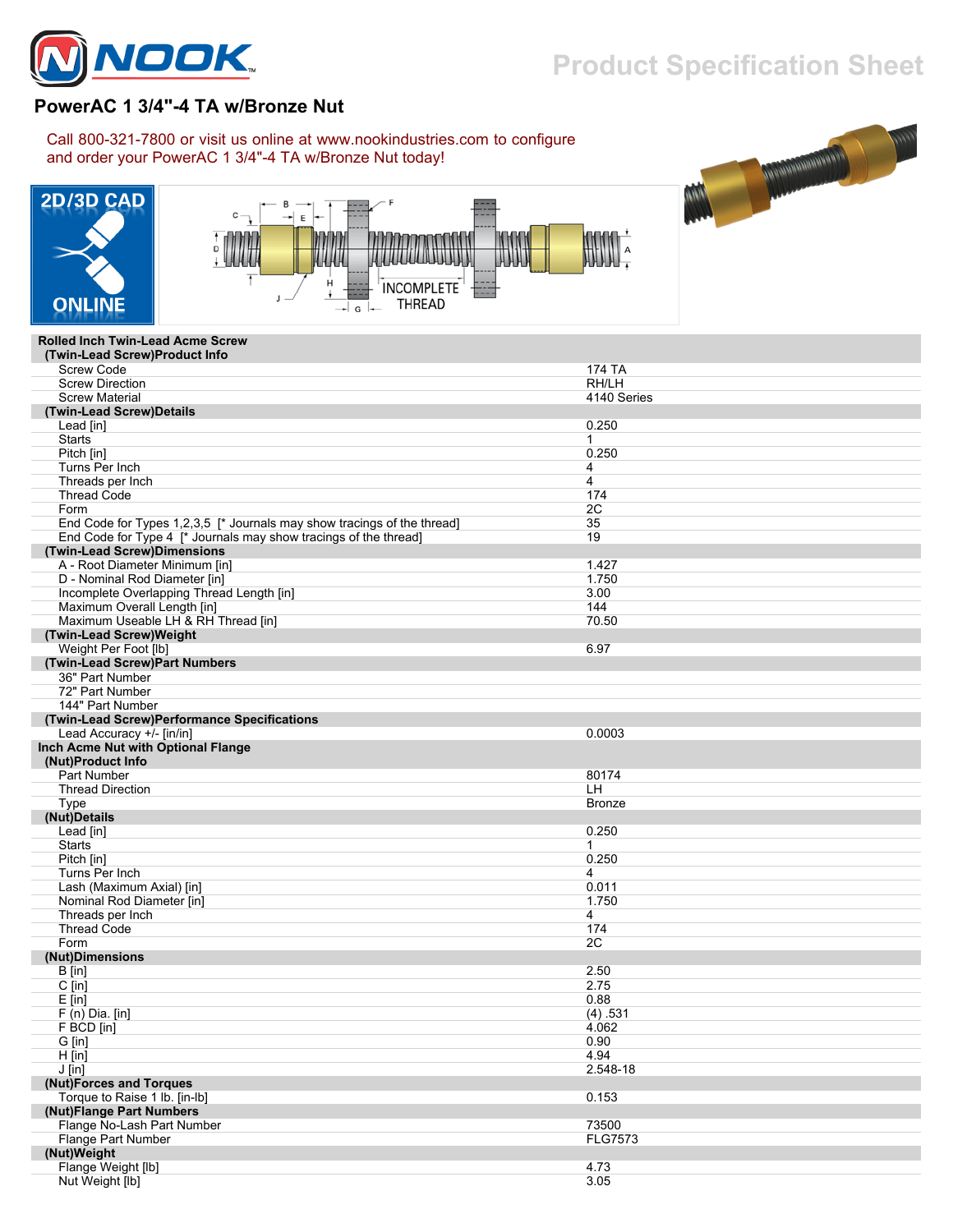

## **Product Specification Sheet**

ILA

## **PowerAC 1 3/4"-4 TA w/Bronze Nut**

Call 800-321-7800 or visit us online at www.nookindustries.com to configure and order your PowerAC 1 3/4"-4 TA w/Bronze Nut today!





## **Rolled Inch Twin-Lead Acme Screw**

| (Twin-Lead Screw)Product Info                                           |                |
|-------------------------------------------------------------------------|----------------|
| <b>Screw Code</b>                                                       | 174 TA         |
| <b>Screw Direction</b>                                                  | RH/LH          |
| <b>Screw Material</b>                                                   | 4140 Series    |
| (Twin-Lead Screw)Details                                                |                |
| Lead [in]                                                               | 0.250          |
| <b>Starts</b>                                                           | $\mathbf{1}$   |
| Pitch [in]                                                              | 0.250          |
| Turns Per Inch                                                          | 4              |
| Threads per Inch                                                        | 4              |
| <b>Thread Code</b>                                                      | 174            |
| Form                                                                    | 2C             |
| End Code for Types 1,2,3,5 [* Journals may show tracings of the thread] | 35             |
| End Code for Type 4 [* Journals may show tracings of the thread]        | 19             |
| (Twin-Lead Screw)Dimensions                                             |                |
| A - Root Diameter Minimum [in]                                          | 1.427          |
| D - Nominal Rod Diameter [in]                                           | 1.750          |
| Incomplete Overlapping Thread Length [in]                               | 3.00           |
| Maximum Overall Length [in]                                             | 144            |
|                                                                         | 70.50          |
| Maximum Useable LH & RH Thread [in]<br>(Twin-Lead Screw)Weight          |                |
|                                                                         |                |
| Weight Per Foot [lb]                                                    | 6.97           |
| (Twin-Lead Screw)Part Numbers                                           |                |
| 36" Part Number                                                         |                |
| 72" Part Number                                                         |                |
| 144" Part Number                                                        |                |
| (Twin-Lead Screw)Performance Specifications                             |                |
| Lead Accuracy +/- [in/in]                                               | 0.0003         |
| Inch Acme Nut with Optional Flange                                      |                |
| (Nut)Product Info                                                       |                |
| Part Number                                                             | 80174          |
| <b>Thread Direction</b>                                                 | LH             |
| Type                                                                    | <b>Bronze</b>  |
| (Nut)Details                                                            |                |
| Lead [in]                                                               | 0.250          |
| <b>Starts</b>                                                           | 1              |
| Pitch [in]                                                              | 0.250          |
| Turns Per Inch                                                          | 4              |
| Lash (Maximum Axial) [in]                                               | 0.011          |
| Nominal Rod Diameter [in]                                               | 1.750          |
| Threads per Inch                                                        | 4              |
| <b>Thread Code</b>                                                      | 174            |
| Form                                                                    | 2C             |
| (Nut)Dimensions                                                         |                |
| B [in]                                                                  | 2.50           |
| $C$ [in]                                                                | 2.75           |
| $E$ [in]                                                                | 0.88           |
| $F(n)$ Dia. [in]                                                        | (4) .531       |
| F BCD [in]                                                              | 4.062          |
| G [in]                                                                  | 0.90           |
| $H$ [in]                                                                | 4.94           |
| $J$ [in]                                                                | 2.548-18       |
| (Nut)Forces and Torques                                                 |                |
| Torque to Raise 1 lb. [in-lb]                                           | 0.153          |
| (Nut)Flange Part Numbers                                                |                |
| Flange No-Lash Part Number                                              | 73500          |
| Flange Part Number                                                      | <b>FLG7573</b> |
| (Nut)Weight                                                             |                |
| Flange Weight [lb]                                                      | 4.73           |
| Nut Weight [lb]                                                         | 3.05           |
|                                                                         |                |